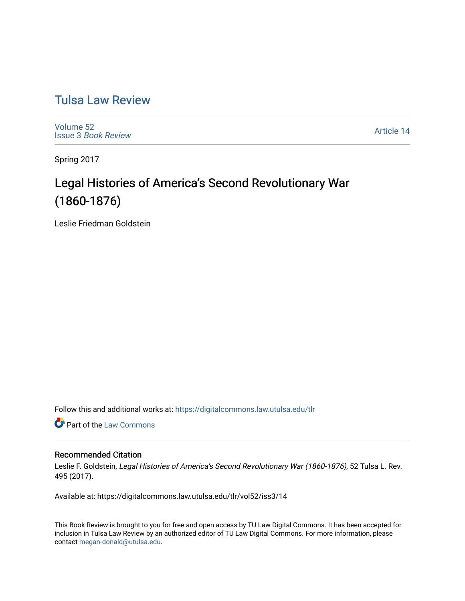# [Tulsa Law Review](https://digitalcommons.law.utulsa.edu/tlr)

[Volume 52](https://digitalcommons.law.utulsa.edu/tlr/vol52) Issue 3 [Book Review](https://digitalcommons.law.utulsa.edu/tlr/vol52/iss3)

[Article 14](https://digitalcommons.law.utulsa.edu/tlr/vol52/iss3/14) 

Spring 2017

# Legal Histories of America's Second Revolutionary War (1860-1876)

Leslie Friedman Goldstein

Follow this and additional works at: [https://digitalcommons.law.utulsa.edu/tlr](https://digitalcommons.law.utulsa.edu/tlr?utm_source=digitalcommons.law.utulsa.edu%2Ftlr%2Fvol52%2Fiss3%2F14&utm_medium=PDF&utm_campaign=PDFCoverPages) 

**Part of the [Law Commons](http://network.bepress.com/hgg/discipline/578?utm_source=digitalcommons.law.utulsa.edu%2Ftlr%2Fvol52%2Fiss3%2F14&utm_medium=PDF&utm_campaign=PDFCoverPages)** 

### Recommended Citation

Leslie F. Goldstein, Legal Histories of America's Second Revolutionary War (1860-1876), 52 Tulsa L. Rev. 495 (2017).

Available at: https://digitalcommons.law.utulsa.edu/tlr/vol52/iss3/14

This Book Review is brought to you for free and open access by TU Law Digital Commons. It has been accepted for inclusion in Tulsa Law Review by an authorized editor of TU Law Digital Commons. For more information, please contact [megan-donald@utulsa.edu.](mailto:megan-donald@utulsa.edu)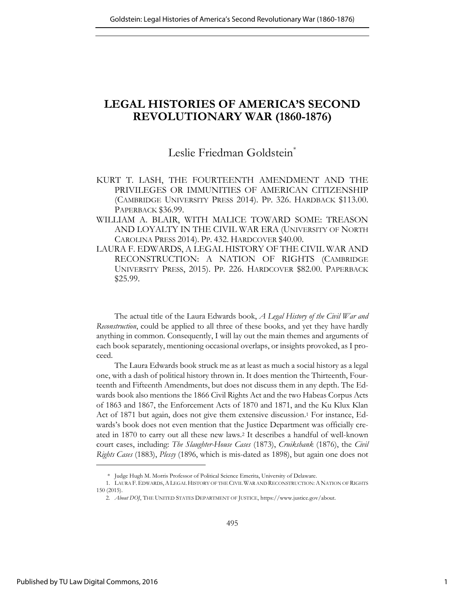## **LEGAL HISTORIES OF AMERICA'S SECOND REVOLUTIONARY WAR (1860-1876)**

## Leslie Friedman Goldstein<sup>\*</sup>

- KURT T. LASH, THE FOURTEENTH AMENDMENT AND THE PRIVILEGES OR IMMUNITIES OF AMERICAN CITIZENSHIP (CAMBRIDGE UNIVERSITY PRESS 2014). PP. 326. HARDBACK \$113.00. PAPERBACK \$36.99.
- WILLIAM A. BLAIR, WITH MALICE TOWARD SOME: TREASON AND LOYALTY IN THE CIVIL WAR ERA (UNIVERSITY OF NORTH CAROLINA PRESS 2014). PP. 432. HARDCOVER \$40.00.
- LAURA F. EDWARDS, A LEGAL HISTORY OF THE CIVIL WAR AND RECONSTRUCTION: A NATION OF RIGHTS (CAMBRIDGE UNIVERSITY PRESS, 2015). PP. 226. HARDCOVER \$82.00. PAPERBACK \$25.99.

The actual title of the Laura Edwards book, *A Legal History of the Civil War and Reconstruction*, could be applied to all three of these books, and yet they have hardly anything in common. Consequently, I will lay out the main themes and arguments of each book separately, mentioning occasional overlaps, or insights provoked, as I proceed.

The Laura Edwards book struck me as at least as much a social history as a legal one, with a dash of political history thrown in. It does mention the Thirteenth, Fourteenth and Fifteenth Amendments, but does not discuss them in any depth. The Edwards book also mentions the 1866 Civil Rights Act and the two Habeas Corpus Acts of 1863 and 1867, the Enforcement Acts of 1870 and 1871, and the Ku Klux Klan Act of 1871 but again, does not give them extensive discussion.1 For instance, Edwards's book does not even mention that the Justice Department was officially created in 1870 to carry out all these new laws.2 It describes a handful of well-known court cases, including: *The Slaughter-House Cases* (1873), *Cruikshank* (1876), the *Civil Rights Cases* (1883), *Plessy* (1896, which is mis-dated as 1898), but again one does not

 <sup>\*</sup> Judge Hugh M. Morris Professor of Political Science Emerita, University of Delaware.

<sup>1.</sup> LAURA F.EDWARDS,ALEGAL HISTORY OF THE CIVIL WAR AND RECONSTRUCTION:ANATION OF RIGHTS 150 (2015).

<sup>2.</sup> *About DOJ*, THE UNITED STATES DEPARTMENT OF JUSTICE, https://www.justice.gov/about.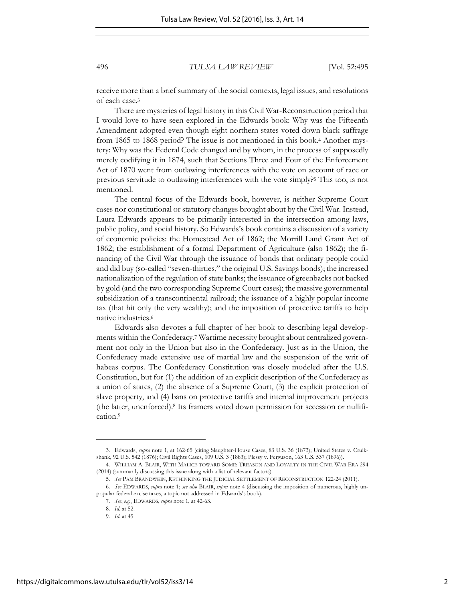receive more than a brief summary of the social contexts, legal issues, and resolutions of each case.<sup>3</sup>

There are mysteries of legal history in this Civil War-Reconstruction period that I would love to have seen explored in the Edwards book: Why was the Fifteenth Amendment adopted even though eight northern states voted down black suffrage from 1865 to 1868 period? The issue is not mentioned in this book.4 Another mystery: Why was the Federal Code changed and by whom, in the process of supposedly merely codifying it in 1874, such that Sections Three and Four of the Enforcement Act of 1870 went from outlawing interferences with the vote on account of race or previous servitude to outlawing interferences with the vote simply?5 This too, is not mentioned.

The central focus of the Edwards book, however, is neither Supreme Court cases nor constitutional or statutory changes brought about by the Civil War. Instead, Laura Edwards appears to be primarily interested in the intersection among laws, public policy, and social history. So Edwards's book contains a discussion of a variety of economic policies: the Homestead Act of 1862; the Morrill Land Grant Act of 1862; the establishment of a formal Department of Agriculture (also 1862); the financing of the Civil War through the issuance of bonds that ordinary people could and did buy (so-called "seven-thirties," the original U.S. Savings bonds); the increased nationalization of the regulation of state banks; the issuance of greenbacks not backed by gold (and the two corresponding Supreme Court cases); the massive governmental subsidization of a transcontinental railroad; the issuance of a highly popular income tax (that hit only the very wealthy); and the imposition of protective tariffs to help native industries.<sup>6</sup>

Edwards also devotes a full chapter of her book to describing legal developments within the Confederacy.7 Wartime necessity brought about centralized government not only in the Union but also in the Confederacy. Just as in the Union, the Confederacy made extensive use of martial law and the suspension of the writ of habeas corpus. The Confederacy Constitution was closely modeled after the U.S. Constitution, but for (1) the addition of an explicit description of the Confederacy as a union of states, (2) the absence of a Supreme Court, (3) the explicit protection of slave property, and (4) bans on protective tariffs and internal improvement projects (the latter, unenforced).<sup>8</sup> Its framers voted down permission for secession or nullification.<sup>9</sup>

<sup>3.</sup> Edwards, *supra* note 1, at 162-65 (citing Slaughter-House Cases, 83 U.S. 36 (1873); United States v. Cruikshank, 92 U.S. 542 (1876); Civil Rights Cases, 109 U.S. 3 (1883); Plessy v. Ferguson, 163 U.S. 537 (1896)).

<sup>4.</sup> WILLIAM A. BLAIR, WITH MALICE TOWARD SOME: TREASON AND LOYALTY IN THE CIVIL WAR ERA 294 (2014) (summarily discussing this issue along with a list of relevant factors).

<sup>5.</sup> *See* PAM BRANDWEIN, RETHINKING THE JUDICIAL SETTLEMENT OF RECONSTRUCTION 122-24 (2011).

<sup>6.</sup> *See* EDWARDS, *supra* note 1; *see also* BLAIR, *supra* note 4 (discussing the imposition of numerous, highly unpopular federal excise taxes, a topic not addressed in Edwards's book).

<sup>7.</sup> *See*, *e.g.*, EDWARDS, *supra* note 1, at 42-63.

<sup>8.</sup> *Id.* at 52.

<sup>9.</sup> *Id.* at 45.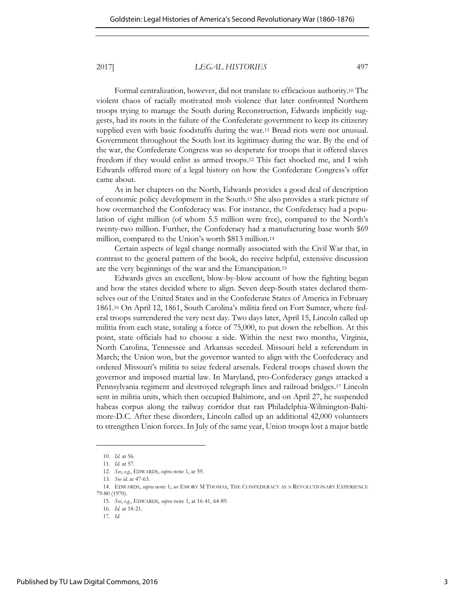Formal centralization, however, did not translate to efficacious authority.10 The violent chaos of racially motivated mob violence that later confronted Northern troops trying to manage the South during Reconstruction, Edwards implicitly suggests, had its roots in the failure of the Confederate government to keep its citizenry supplied even with basic foodstuffs during the war.11 Bread riots were not unusual. Government throughout the South lost its legitimacy during the war. By the end of the war, the Confederate Congress was so desperate for troops that it offered slaves freedom if they would enlist as armed troops.12 This fact shocked me, and I wish Edwards offered more of a legal history on how the Confederate Congress's offer came about.

As in her chapters on the North, Edwards provides a good deal of description of economic policy development in the South.13 She also provides a stark picture of how overmatched the Confederacy was. For instance, the Confederacy had a population of eight million (of whom 5.5 million were free), compared to the North's twenty-two million. Further, the Confederacy had a manufacturing base worth \$69 million, compared to the Union's worth \$813 million.<sup>14</sup>

Certain aspects of legal change normally associated with the Civil War that, in contrast to the general pattern of the book, do receive helpful, extensive discussion are the very beginnings of the war and the Emancipation.<sup>15</sup>

Edwards gives an excellent, blow-by-blow account of how the fighting began and how the states decided where to align. Seven deep-South states declared themselves out of the United States and in the Confederate States of America in February 1861.<sup>16</sup> On April 12, 1861, South Carolina's militia fired on Fort Sumter, where federal troops surrendered the very next day. Two days later, April 15, Lincoln called up militia from each state, totaling a force of 75,000, to put down the rebellion. At this point, state officials had to choose a side. Within the next two months, Virginia, North Carolina, Tennessee and Arkansas seceded. Missouri held a referendum in March; the Union won, but the governor wanted to align with the Confederacy and ordered Missouri's militia to seize federal arsenals. Federal troops chased down the governor and imposed martial law. In Maryland, pro-Confederacy gangs attacked a Pennsylvania regiment and destroyed telegraph lines and railroad bridges.17 Lincoln sent in militia units, which then occupied Baltimore, and on April 27, he suspended habeas corpus along the railway corridor that ran Philadelphia-Wilmington-Baltimore-D.C. After these disorders, Lincoln called up an additional 42,000 volunteers to strengthen Union forces. In July of the same year, Union troops lost a major battle

<sup>10.</sup> *Id*. at 56.

<sup>11.</sup> *Id.* at 57.

<sup>12.</sup> *See*, *e.g.*, EDWARDS, *supra* note 1, at 59.

<sup>13.</sup> *See id.* at 47-63.

<sup>14.</sup> EDWARDS, *supra* note 1; *see* EMORY M THOMAS, THE CONFEDERACY AS A REVOLUTIONARY EXPERIENCE 79-80 (1970).

<sup>15.</sup> *See*, *e.g.*, EDWARDS, *supra* note 1, at 16-41, 64-89.

<sup>16.</sup> *Id.* at 18-21.

<sup>17.</sup> *Id*.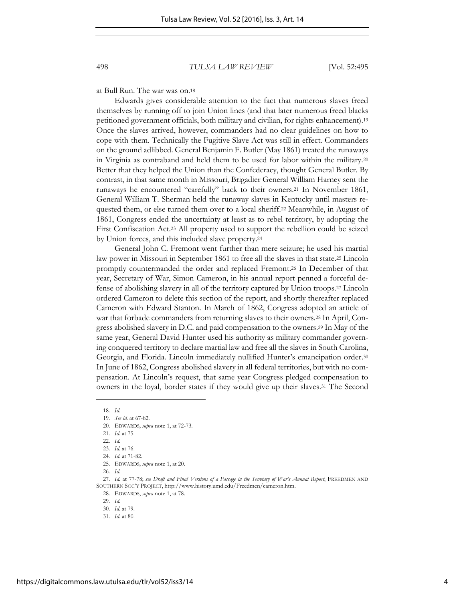at Bull Run. The war was on.<sup>18</sup>

Edwards gives considerable attention to the fact that numerous slaves freed themselves by running off to join Union lines (and that later numerous freed blacks petitioned government officials, both military and civilian, for rights enhancement).<sup>19</sup> Once the slaves arrived, however, commanders had no clear guidelines on how to cope with them. Technically the Fugitive Slave Act was still in effect. Commanders on the ground adlibbed. General Benjamin F. Butler (May 1861) treated the runaways in Virginia as contraband and held them to be used for labor within the military.<sup>20</sup> Better that they helped the Union than the Confederacy, thought General Butler. By contrast, in that same month in Missouri, Brigadier General William Harney sent the runaways he encountered "carefully" back to their owners.21 In November 1861, General William T. Sherman held the runaway slaves in Kentucky until masters requested them, or else turned them over to a local sheriff.22 Meanwhile, in August of 1861, Congress ended the uncertainty at least as to rebel territory, by adopting the First Confiscation Act.23 All property used to support the rebellion could be seized by Union forces, and this included slave property.<sup>24</sup>

General John C. Fremont went further than mere seizure; he used his martial law power in Missouri in September 1861 to free all the slaves in that state.25 Lincoln promptly countermanded the order and replaced Fremont.26 In December of that year, Secretary of War, Simon Cameron, in his annual report penned a forceful defense of abolishing slavery in all of the territory captured by Union troops.<sup>27</sup> Lincoln ordered Cameron to delete this section of the report, and shortly thereafter replaced Cameron with Edward Stanton. In March of 1862, Congress adopted an article of war that forbade commanders from returning slaves to their owners.28 In April, Congress abolished slavery in D.C. and paid compensation to the owners.29 In May of the same year, General David Hunter used his authority as military commander governing conquered territory to declare martial law and free all the slaves in South Carolina, Georgia, and Florida. Lincoln immediately nullified Hunter's emancipation order.<sup>30</sup> In June of 1862, Congress abolished slavery in all federal territories, but with no compensation. At Lincoln's request, that same year Congress pledged compensation to owners in the loyal, border states if they would give up their slaves.31 The Second

l

29. *Id.* 

<sup>18.</sup> *Id.* 

<sup>19.</sup> *See id*. at 67-82.

<sup>20.</sup> EDWARDS, *supra* note 1, at 72-73.

<sup>21.</sup> *Id.* at 75.

<sup>22.</sup> *Id.* 

<sup>23.</sup> *Id.* at 76.

<sup>24.</sup> *Id*. at 71-82. 25. EDWARDS, *supra* note 1, at 20.

<sup>26.</sup> *Id.* 

<sup>27.</sup> *Id.* at 77-78; *see Draft and Final Versions of a Passage in the Secretary of War's Annual Report*, FREEDMEN AND SOUTHERN SOC'Y PROJECT, http://www.history.umd.edu/Freedmen/cameron.htm.

<sup>28.</sup> EDWARDS, *supra* note 1, at 78.

<sup>30.</sup> *Id.* at 79.

<sup>31.</sup> *Id.* at 80.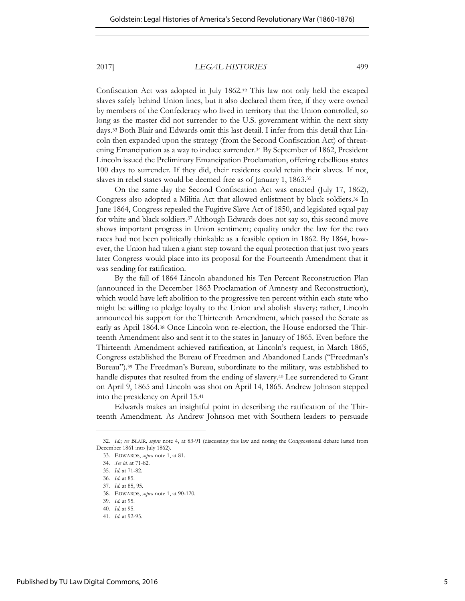Confiscation Act was adopted in July 1862.32 This law not only held the escaped slaves safely behind Union lines, but it also declared them free, if they were owned by members of the Confederacy who lived in territory that the Union controlled, so long as the master did not surrender to the U.S. government within the next sixty days.33 Both Blair and Edwards omit this last detail. I infer from this detail that Lincoln then expanded upon the strategy (from the Second Confiscation Act) of threatening Emancipation as a way to induce surrender.34 By September of 1862, President Lincoln issued the Preliminary Emancipation Proclamation, offering rebellious states 100 days to surrender. If they did, their residents could retain their slaves. If not, slaves in rebel states would be deemed free as of January 1, 1863.<sup>35</sup>

On the same day the Second Confiscation Act was enacted (July 17, 1862), Congress also adopted a Militia Act that allowed enlistment by black soldiers.36 In June 1864, Congress repealed the Fugitive Slave Act of 1850, and legislated equal pay for white and black soldiers.<sup>37</sup> Although Edwards does not say so, this second move shows important progress in Union sentiment; equality under the law for the two races had not been politically thinkable as a feasible option in 1862. By 1864, however, the Union had taken a giant step toward the equal protection that just two years later Congress would place into its proposal for the Fourteenth Amendment that it was sending for ratification.

By the fall of 1864 Lincoln abandoned his Ten Percent Reconstruction Plan (announced in the December 1863 Proclamation of Amnesty and Reconstruction), which would have left abolition to the progressive ten percent within each state who might be willing to pledge loyalty to the Union and abolish slavery; rather, Lincoln announced his support for the Thirteenth Amendment, which passed the Senate as early as April 1864.38 Once Lincoln won re-election, the House endorsed the Thirteenth Amendment also and sent it to the states in January of 1865. Even before the Thirteenth Amendment achieved ratification, at Lincoln's request, in March 1865, Congress established the Bureau of Freedmen and Abandoned Lands ("Freedman's Bureau").<sup>39</sup> The Freedman's Bureau, subordinate to the military, was established to handle disputes that resulted from the ending of slavery.40 Lee surrendered to Grant on April 9, 1865 and Lincoln was shot on April 14, 1865. Andrew Johnson stepped into the presidency on April 15.<sup>41</sup>

Edwards makes an insightful point in describing the ratification of the Thirteenth Amendment. As Andrew Johnson met with Southern leaders to persuade

<sup>32.</sup> *Id.*; *see* BLAIR*, supra* note 4, at 83-91 (discussing this law and noting the Congressional debate lasted from December 1861 into July 1862).

<sup>33.</sup> EDWARDS, *supra* note 1, at 81.

<sup>34.</sup> *See id.* at 71-82.

<sup>35.</sup> *Id.* at 71-82.

<sup>36.</sup> *Id.* at 85.

<sup>37.</sup> *Id.* at 85, 95.

<sup>38.</sup> EDWARDS, *supra* note 1, at 90-120.

<sup>39.</sup> *Id.* at 95.

<sup>40.</sup> *Id.* at 95.

<sup>41.</sup> *Id.* at 92-95.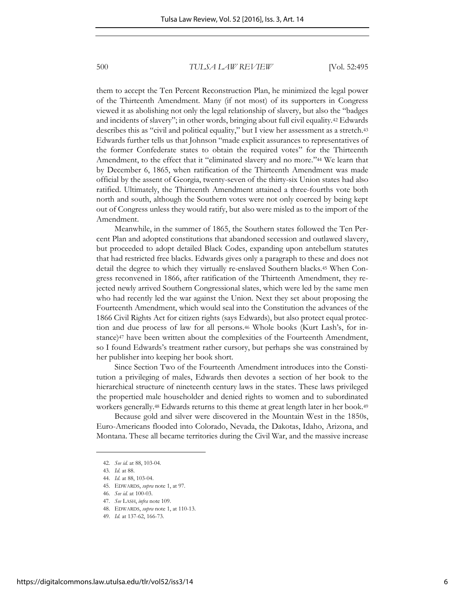them to accept the Ten Percent Reconstruction Plan, he minimized the legal power of the Thirteenth Amendment. Many (if not most) of its supporters in Congress viewed it as abolishing not only the legal relationship of slavery, but also the "badges and incidents of slavery"; in other words, bringing about full civil equality.42 Edwards describes this as "civil and political equality," but I view her assessment as a stretch.<sup>43</sup> Edwards further tells us that Johnson "made explicit assurances to representatives of the former Confederate states to obtain the required votes" for the Thirteenth Amendment, to the effect that it "eliminated slavery and no more."44 We learn that by December 6, 1865, when ratification of the Thirteenth Amendment was made official by the assent of Georgia, twenty-seven of the thirty-six Union states had also ratified. Ultimately, the Thirteenth Amendment attained a three-fourths vote both north and south, although the Southern votes were not only coerced by being kept out of Congress unless they would ratify, but also were misled as to the import of the Amendment.

Meanwhile, in the summer of 1865, the Southern states followed the Ten Percent Plan and adopted constitutions that abandoned secession and outlawed slavery, but proceeded to adopt detailed Black Codes, expanding upon antebellum statutes that had restricted free blacks. Edwards gives only a paragraph to these and does not detail the degree to which they virtually re-enslaved Southern blacks.45 When Congress reconvened in 1866, after ratification of the Thirteenth Amendment, they rejected newly arrived Southern Congressional slates, which were led by the same men who had recently led the war against the Union. Next they set about proposing the Fourteenth Amendment, which would seal into the Constitution the advances of the 1866 Civil Rights Act for citizen rights (says Edwards), but also protect equal protection and due process of law for all persons.<sup>46</sup> Whole books (Kurt Lash's, for instance)47 have been written about the complexities of the Fourteenth Amendment, so I found Edwards's treatment rather cursory, but perhaps she was constrained by her publisher into keeping her book short.

Since Section Two of the Fourteenth Amendment introduces into the Constitution a privileging of males, Edwards then devotes a section of her book to the hierarchical structure of nineteenth century laws in the states. These laws privileged the propertied male householder and denied rights to women and to subordinated workers generally.48 Edwards returns to this theme at great length later in her book.<sup>49</sup>

Because gold and silver were discovered in the Mountain West in the 1850s, Euro-Americans flooded into Colorado, Nevada, the Dakotas, Idaho, Arizona, and Montana. These all became territories during the Civil War, and the massive increase

<sup>42.</sup> *See id.* at 88, 103-04.

<sup>43.</sup> *Id.* at 88.

<sup>44.</sup> *Id*. at 88, 103-04.

<sup>45.</sup> EDWARDS, *supra* note 1, at 97.

<sup>46.</sup> *See id.* at 100-03.

<sup>47.</sup> *See* LASH, *infra* note 109.

<sup>48.</sup> EDWARDS, *supra* note 1, at 110-13.

<sup>49.</sup> *Id.* at 137-62, 166-73.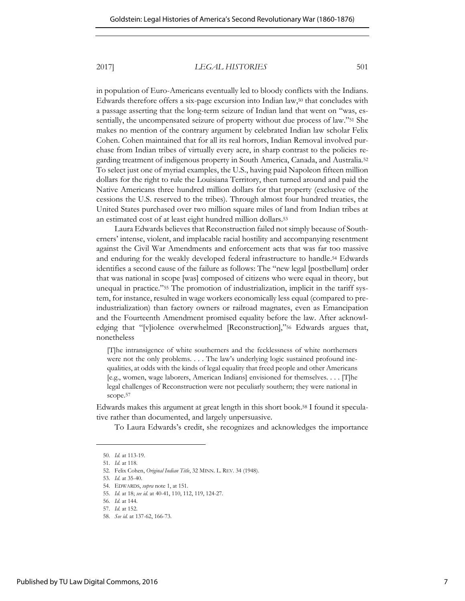in population of Euro-Americans eventually led to bloody conflicts with the Indians. Edwards therefore offers a six-page excursion into Indian law,<sup>50</sup> that concludes with a passage asserting that the long-term seizure of Indian land that went on "was, essentially, the uncompensated seizure of property without due process of law."51 She makes no mention of the contrary argument by celebrated Indian law scholar Felix Cohen. Cohen maintained that for all its real horrors, Indian Removal involved purchase from Indian tribes of virtually every acre, in sharp contrast to the policies regarding treatment of indigenous property in South America, Canada, and Australia.<sup>52</sup> To select just one of myriad examples, the U.S., having paid Napoleon fifteen million dollars for the right to rule the Louisiana Territory, then turned around and paid the Native Americans three hundred million dollars for that property (exclusive of the cessions the U.S. reserved to the tribes). Through almost four hundred treaties, the United States purchased over two million square miles of land from Indian tribes at an estimated cost of at least eight hundred million dollars.<sup>53</sup>

Laura Edwards believes that Reconstruction failed not simply because of Southerners' intense, violent, and implacable racial hostility and accompanying resentment against the Civil War Amendments and enforcement acts that was far too massive and enduring for the weakly developed federal infrastructure to handle.54 Edwards identifies a second cause of the failure as follows: The "new legal [postbellum] order that was national in scope [was] composed of citizens who were equal in theory, but unequal in practice."55 The promotion of industrialization, implicit in the tariff system, for instance, resulted in wage workers economically less equal (compared to preindustrialization) than factory owners or railroad magnates, even as Emancipation and the Fourteenth Amendment promised equality before the law. After acknowledging that "[v]iolence overwhelmed [Reconstruction],"56 Edwards argues that, nonetheless

[T]he intransigence of white southerners and the fecklessness of white northerners were not the only problems. . . . The law's underlying logic sustained profound inequalities, at odds with the kinds of legal equality that freed people and other Americans [e.g., women, wage laborers, American Indians] envisioned for themselves. . . . [T]he legal challenges of Reconstruction were not peculiarly southern; they were national in scope.<sup>57</sup>

Edwards makes this argument at great length in this short book.58 I found it speculative rather than documented, and largely unpersuasive.

To Laura Edwards's credit, she recognizes and acknowledges the importance

<sup>50.</sup> *Id.* at 113-19. 51. *Id.* at 118.

<sup>52.</sup> Felix Cohen, *Original Indian Title*, 32 MINN. L. REV. 34 (1948).

<sup>53.</sup> *Id*. at 35-40.

<sup>54.</sup> EDWARDS, *supra* note 1, at 151.

<sup>55.</sup> *Id.* at 18; *see id.* at 40-41, 110, 112, 119, 124-27.

<sup>56.</sup> *Id.* at 144.

<sup>57.</sup> *Id.* at 152.

<sup>58.</sup> *See id.* at 137-62, 166-73.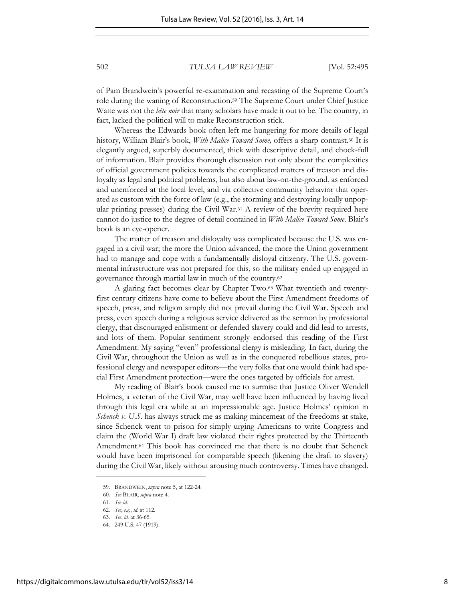of Pam Brandwein's powerful re-examination and recasting of the Supreme Court's role during the waning of Reconstruction.59 The Supreme Court under Chief Justice Waite was not the *bête noir* that many scholars have made it out to be. The country, in fact, lacked the political will to make Reconstruction stick.

Whereas the Edwards book often left me hungering for more details of legal history, William Blair's book, *With Malice Toward Some,* offers a sharp contrast.60 It is elegantly argued, superbly documented, thick with descriptive detail, and chock-full of information. Blair provides thorough discussion not only about the complexities of official government policies towards the complicated matters of treason and disloyalty as legal and political problems, but also about law-on-the-ground, as enforced and unenforced at the local level, and via collective community behavior that operated as custom with the force of law (e.g., the storming and destroying locally unpopular printing presses) during the Civil War.61 A review of the brevity required here cannot do justice to the degree of detail contained in *With Malice Toward Some*. Blair's book is an eye-opener.

The matter of treason and disloyalty was complicated because the U.S. was engaged in a civil war; the more the Union advanced, the more the Union government had to manage and cope with a fundamentally disloyal citizenry. The U.S. governmental infrastructure was not prepared for this, so the military ended up engaged in governance through martial law in much of the country.<sup>62</sup>

A glaring fact becomes clear by Chapter Two.63 What twentieth and twentyfirst century citizens have come to believe about the First Amendment freedoms of speech, press, and religion simply did not prevail during the Civil War. Speech and press, even speech during a religious service delivered as the sermon by professional clergy, that discouraged enlistment or defended slavery could and did lead to arrests, and lots of them. Popular sentiment strongly endorsed this reading of the First Amendment. My saying "even" professional clergy is misleading. In fact, during the Civil War, throughout the Union as well as in the conquered rebellious states, professional clergy and newspaper editors—the very folks that one would think had special First Amendment protection—were the ones targeted by officials for arrest.

My reading of Blair's book caused me to surmise that Justice Oliver Wendell Holmes, a veteran of the Civil War, may well have been influenced by having lived through this legal era while at an impressionable age. Justice Holmes' opinion in *Schenck v. U.S.* has always struck me as making mincemeat of the freedoms at stake, since Schenck went to prison for simply urging Americans to write Congress and claim the (World War I) draft law violated their rights protected by the Thirteenth Amendment.64 This book has convinced me that there is no doubt that Schenck would have been imprisoned for comparable speech (likening the draft to slavery) during the Civil War, likely without arousing much controversy. Times have changed.

<sup>59.</sup> BRANDWEIN, *supra* note 5, at 122-24.

<sup>60.</sup> *See* BLAIR, *supra* note 4.

<sup>61.</sup> *See id*.

<sup>62.</sup> *See*, *e.g.*, *id*. at 112. 63. *See*, *id.* at 36-65.

<sup>64. 249</sup> U.S. 47 (1919).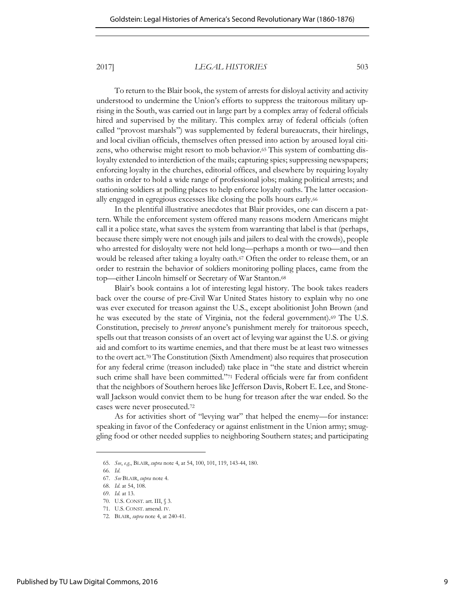To return to the Blair book, the system of arrests for disloyal activity and activity understood to undermine the Union's efforts to suppress the traitorous military uprising in the South, was carried out in large part by a complex array of federal officials hired and supervised by the military. This complex array of federal officials (often called "provost marshals") was supplemented by federal bureaucrats, their hirelings, and local civilian officials, themselves often pressed into action by aroused loyal citizens, who otherwise might resort to mob behavior.65 This system of combatting disloyalty extended to interdiction of the mails; capturing spies; suppressing newspapers; enforcing loyalty in the churches, editorial offices, and elsewhere by requiring loyalty oaths in order to hold a wide range of professional jobs; making political arrests; and stationing soldiers at polling places to help enforce loyalty oaths. The latter occasionally engaged in egregious excesses like closing the polls hours early.<sup>66</sup>

In the plentiful illustrative anecdotes that Blair provides, one can discern a pattern. While the enforcement system offered many reasons modern Americans might call it a police state, what saves the system from warranting that label is that (perhaps, because there simply were not enough jails and jailers to deal with the crowds), people who arrested for disloyalty were not held long—perhaps a month or two—and then would be released after taking a loyalty oath.67 Often the order to release them, or an order to restrain the behavior of soldiers monitoring polling places, came from the top—either Lincoln himself or Secretary of War Stanton.<sup>68</sup>

Blair's book contains a lot of interesting legal history. The book takes readers back over the course of pre-Civil War United States history to explain why no one was ever executed for treason against the U.S., except abolitionist John Brown (and he was executed by the state of Virginia, not the federal government).69 The U.S. Constitution, precisely to *prevent* anyone's punishment merely for traitorous speech, spells out that treason consists of an overt act of levying war against the U.S. or giving aid and comfort to its wartime enemies, and that there must be at least two witnesses to the overt act.70 The Constitution (Sixth Amendment) also requires that prosecution for any federal crime (treason included) take place in "the state and district wherein such crime shall have been committed."71 Federal officials were far from confident that the neighbors of Southern heroes like Jefferson Davis, Robert E. Lee, and Stonewall Jackson would convict them to be hung for treason after the war ended. So the cases were never prosecuted.<sup>72</sup>

As for activities short of "levying war" that helped the enemy—for instance: speaking in favor of the Confederacy or against enlistment in the Union army; smuggling food or other needed supplies to neighboring Southern states; and participating

<sup>65.</sup> *See*, *e.g.*, BLAIR, *supra* note 4, at 54, 100, 101, 119, 143-44, 180.

<sup>66.</sup> *Id*.

<sup>67.</sup> *See* BLAIR, *supra* note 4.

<sup>68.</sup> *Id*. at 54, 108.

<sup>69.</sup> *Id.* at 13.

<sup>70.</sup> U.S. CONST. art. III, § 3.

<sup>71.</sup> U.S. CONST. amend. IV.

<sup>72.</sup> BLAIR, *supra* note 4, at 240-41.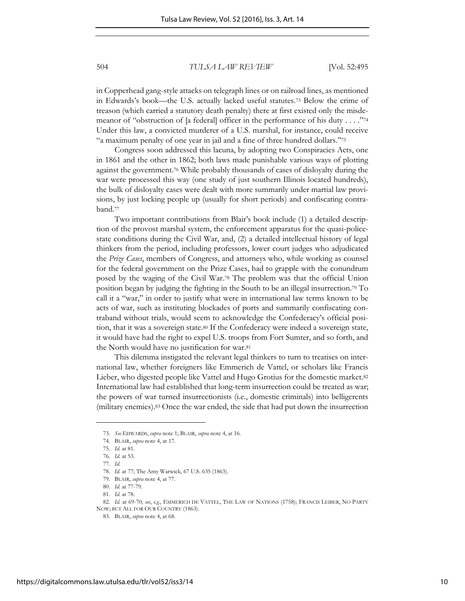in Copperhead gang-style attacks on telegraph lines or on railroad lines, as mentioned in Edwards's book—the U.S. actually lacked useful statutes.73 Below the crime of treason (which carried a statutory death penalty) there at first existed only the misdemeanor of "obstruction of [a federal] officer in the performance of his duty . . . ."<sup>74</sup> Under this law, a convicted murderer of a U.S. marshal, for instance, could receive "a maximum penalty of one year in jail and a fine of three hundred dollars."<sup>75</sup>

Congress soon addressed this lacuna, by adopting two Conspiracies Acts, one in 1861 and the other in 1862; both laws made punishable various ways of plotting against the government.76 While probably thousands of cases of disloyalty during the war were processed this way (one study of just southern Illinois located hundreds), the bulk of disloyalty cases were dealt with more summarily under martial law provisions, by just locking people up (usually for short periods) and confiscating contraband.<sup>77</sup>

Two important contributions from Blair's book include (1) a detailed description of the provost marshal system, the enforcement apparatus for the quasi-policestate conditions during the Civil War, and, (2) a detailed intellectual history of legal thinkers from the period, including professors, lower court judges who adjudicated the *Prize Cases*, members of Congress, and attorneys who, while working as counsel for the federal government on the Prize Cases, had to grapple with the conundrum posed by the waging of the Civil War.78 The problem was that the official Union position began by judging the fighting in the South to be an illegal insurrection.<sup>79</sup> To call it a "war," in order to justify what were in international law terms known to be acts of war, such as instituting blockades of ports and summarily confiscating contraband without trials, would seem to acknowledge the Confederacy's official position, that it was a sovereign state.80 If the Confederacy were indeed a sovereign state, it would have had the right to expel U.S. troops from Fort Sumter, and so forth, and the North would have no justification for war.<sup>81</sup>

This dilemma instigated the relevant legal thinkers to turn to treatises on international law, whether foreigners like Emmerich de Vattel, or scholars like Francis Lieber, who digested people like Vattel and Hugo Grotius for the domestic market.<sup>82</sup> International law had established that long-term insurrection could be treated as war; the powers of war turned insurrectionists (i.e., domestic criminals) into belligerents (military enemies).83 Once the war ended, the side that had put down the insurrection

<sup>73.</sup> *See* EDWARDS, *supra* note 1; BLAIR, *supra* note 4, at 16.

<sup>74.</sup> BLAIR, *supra* note 4, at 17.

<sup>75.</sup> *Id.* at 81.

<sup>76.</sup> *Id.* at 53.

<sup>77.</sup> *Id.*

<sup>78.</sup> *Id.* at 77; The Amy Warwick, 67 U.S. 635 (1863).

<sup>79.</sup> BLAIR, *supra* note 4, at 77.

<sup>80.</sup> *Id.* at 77-79.

<sup>81.</sup> *Id.* at 78.

<sup>82.</sup> *Id.* at 69-70; *see*, *e.g.*, EMMERICH DE VATTEL, THE LAW OF NATIONS (1758); FRANCIS LEIBER, NO PARTY NOW; BUT ALL FOR OUR COUNTRY (1863).

<sup>83.</sup> BLAIR, *supra* note 4, at 68.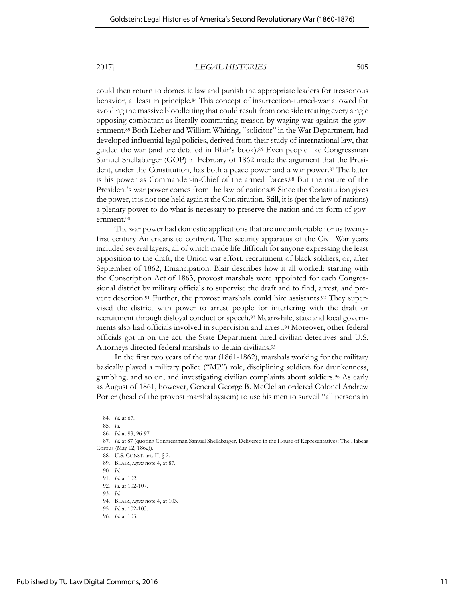could then return to domestic law and punish the appropriate leaders for treasonous behavior, at least in principle.84 This concept of insurrection-turned-war allowed for avoiding the massive bloodletting that could result from one side treating every single opposing combatant as literally committing treason by waging war against the government.<sup>85</sup> Both Lieber and William Whiting, "solicitor" in the War Department, had developed influential legal policies, derived from their study of international law, that guided the war (and are detailed in Blair's book).86 Even people like Congressman Samuel Shellabarger (GOP) in February of 1862 made the argument that the President, under the Constitution, has both a peace power and a war power.87 The latter is his power as Commander-in-Chief of the armed forces.88 But the nature of the President's war power comes from the law of nations.<sup>89</sup> Since the Constitution gives the power, it is not one held against the Constitution. Still, it is (per the law of nations) a plenary power to do what is necessary to preserve the nation and its form of government.<sup>90</sup>

The war power had domestic applications that are uncomfortable for us twentyfirst century Americans to confront. The security apparatus of the Civil War years included several layers, all of which made life difficult for anyone expressing the least opposition to the draft, the Union war effort, recruitment of black soldiers, or, after September of 1862, Emancipation. Blair describes how it all worked: starting with the Conscription Act of 1863, provost marshals were appointed for each Congressional district by military officials to supervise the draft and to find, arrest, and prevent desertion.91 Further, the provost marshals could hire assistants.92 They supervised the district with power to arrest people for interfering with the draft or recruitment through disloyal conduct or speech.93 Meanwhile, state and local governments also had officials involved in supervision and arrest.94 Moreover, other federal officials got in on the act: the State Department hired civilian detectives and U.S. Attorneys directed federal marshals to detain civilians.<sup>95</sup>

In the first two years of the war (1861-1862), marshals working for the military basically played a military police ("MP") role, disciplining soldiers for drunkenness, gambling, and so on, and investigating civilian complaints about soldiers.96 As early as August of 1861, however, General George B. McClellan ordered Colonel Andrew Porter (head of the provost marshal system) to use his men to surveil "all persons in

<sup>84.</sup> *Id.* at 67.

<sup>85.</sup> *Id.* 

<sup>86.</sup> *Id.* at 93, 96-97.

<sup>87.</sup> *Id.* at 87 (quoting Congressman Samuel Shellabarger, Delivered in the House of Representatives: The Habeas Corpus (May 12, 1862)).

<sup>88.</sup> U.S. CONST. art. II, § 2.

<sup>89.</sup> BLAIR, *supra* note 4, at 87.

<sup>90.</sup> *Id.* 

<sup>91.</sup> *Id.* at 102.

<sup>92.</sup> *Id.* at 102-107.

<sup>93.</sup> *Id.* 

<sup>94.</sup> BLAIR, *supra* note 4, at 103.

<sup>95.</sup> *Id.* at 102-103.

<sup>96.</sup> *Id.* at 103.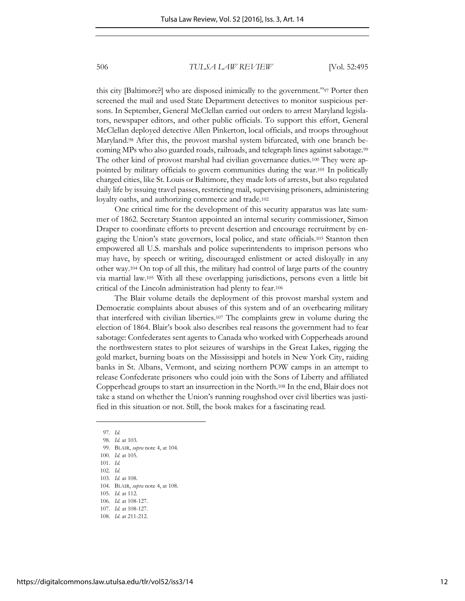this city [Baltimore?] who are disposed inimically to the government."97 Porter then screened the mail and used State Department detectives to monitor suspicious persons. In September, General McClellan carried out orders to arrest Maryland legislators, newspaper editors, and other public officials. To support this effort, General McClellan deployed detective Allen Pinkerton, local officials, and troops throughout Maryland.98 After this, the provost marshal system bifurcated, with one branch becoming MPs who also guarded roads, railroads, and telegraph lines against sabotage.<sup>99</sup> The other kind of provost marshal had civilian governance duties.100 They were appointed by military officials to govern communities during the war.101 In politically charged cities, like St. Louis or Baltimore, they made lots of arrests, but also regulated daily life by issuing travel passes, restricting mail, supervising prisoners, administering loyalty oaths, and authorizing commerce and trade.<sup>102</sup>

One critical time for the development of this security apparatus was late summer of 1862. Secretary Stanton appointed an internal security commissioner, Simon Draper to coordinate efforts to prevent desertion and encourage recruitment by engaging the Union's state governors, local police, and state officials.103 Stanton then empowered all U.S. marshals and police superintendents to imprison persons who may have, by speech or writing, discouraged enlistment or acted disloyally in any other way.<sup>104</sup> On top of all this, the military had control of large parts of the country via martial law.105 With all these overlapping jurisdictions, persons even a little bit critical of the Lincoln administration had plenty to fear.<sup>106</sup>

The Blair volume details the deployment of this provost marshal system and Democratic complaints about abuses of this system and of an overbearing military that interfered with civilian liberties.107 The complaints grew in volume during the election of 1864. Blair's book also describes real reasons the government had to fear sabotage: Confederates sent agents to Canada who worked with Copperheads around the northwestern states to plot seizures of warships in the Great Lakes, rigging the gold market, burning boats on the Mississippi and hotels in New York City, raiding banks in St. Albans, Vermont, and seizing northern POW camps in an attempt to release Confederate prisoners who could join with the Sons of Liberty and affiliated Copperhead groups to start an insurrection in the North.108 In the end, Blair does not take a stand on whether the Union's running roughshod over civil liberties was justified in this situation or not. Still, the book makes for a fascinating read.

<sup>97.</sup> *Id.* 

<sup>98.</sup> *Id.* at 103.

<sup>99.</sup> BLAIR, *supra* note 4, at 104.

<sup>100.</sup> *Id.* at 105.

<sup>101.</sup> *Id.* 

<sup>102.</sup> *Id.* 

<sup>103.</sup> *Id.* at 108. 104. BLAIR, *supra* note 4, at 108.

<sup>105.</sup> *Id.* at 112.

<sup>106.</sup> *Id.* at 108-127.

<sup>107.</sup> *Id.* at 108-127.

<sup>108.</sup> *Id*. at 211-212.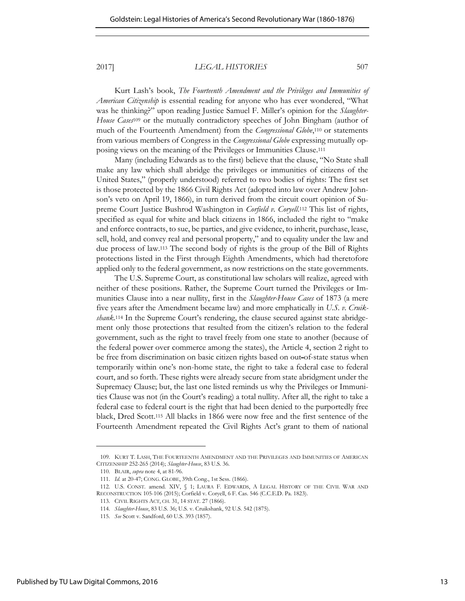Kurt Lash's book, *The Fourteenth Amendment and the Privileges and Immunities of American Citizenship* is essential reading for anyone who has ever wondered, "What was he thinking?" upon reading Justice Samuel F. Miller's opinion for the *Slaughter-House Cases*109 or the mutually contradictory speeches of John Bingham (author of much of the Fourteenth Amendment) from the *Congressional Globe*,110 or statements from various members of Congress in the *Congressional Globe* expressing mutually opposing views on the meaning of the Privileges or Immunities Clause.<sup>111</sup>

Many (including Edwards as to the first) believe that the clause, "No State shall make any law which shall abridge the privileges or immunities of citizens of the United States," (properly understood) referred to two bodies of rights: The first set is those protected by the 1866 Civil Rights Act (adopted into law over Andrew Johnson's veto on April 19, 1866), in turn derived from the circuit court opinion of Supreme Court Justice Bushrod Washington in *Corfield v. Coryell*.112 This list of rights, specified as equal for white and black citizens in 1866, included the right to "make and enforce contracts, to sue, be parties, and give evidence, to inherit, purchase, lease, sell, hold, and convey real and personal property," and to equality under the law and due process of law.113 The second body of rights is the group of the Bill of Rights protections listed in the First through Eighth Amendments, which had theretofore applied only to the federal government, as now restrictions on the state governments.

The U.S. Supreme Court, as constitutional law scholars will realize, agreed with neither of these positions. Rather, the Supreme Court turned the Privileges or Immunities Clause into a near nullity, first in the *Slaughter-House Cases* of 1873 (a mere five years after the Amendment became law) and more emphatically in *U.S. v. Cruikshank*.<sup>114</sup> In the Supreme Court's rendering, the clause secured against state abridgement only those protections that resulted from the citizen's relation to the federal government, such as the right to travel freely from one state to another (because of the federal power over commerce among the states), the Article 4, section 2 right to be free from discrimination on basic citizen rights based on out-of-state status when temporarily within one's non-home state, the right to take a federal case to federal court, and so forth. These rights were already secure from state abridgment under the Supremacy Clause; but, the last one listed reminds us why the Privileges or Immunities Clause was not (in the Court's reading) a total nullity. After all, the right to take a federal case to federal court is the right that had been denied to the purportedly free black, Dred Scott.115 All blacks in 1866 were now free and the first sentence of the Fourteenth Amendment repeated the Civil Rights Act's grant to them of national

<sup>109.</sup> KURT T. LASH, THE FOURTEENTH AMENDMENT AND THE PRIVILEGES AND IMMUNITIES OF AMERICAN CITIZENSHIP 252-265 (2014); *Slaughter-House*, 83 U.S. 36.

<sup>110.</sup> BLAIR, *supra* note 4, at 81-96.

<sup>111.</sup> *Id.* at 20-47; CONG. GLOBE, 39th Cong., 1st Sess. (1866).

<sup>112.</sup> U.S. CONST. amend. XIV, § 1; LAURA F. EDWARDS, A LEGAL HISTORY OF THE CIVIL WAR AND RECONSTRUCTION 105-106 (2015); Corfield v. Coryell, 6 F. Cas. 546 (C.C.E.D. Pa. 1823).

<sup>113.</sup> CIVIL RIGHTS ACT, CH. 31, 14 STAT. 27 (1866).

<sup>114.</sup> *Slaughter-House*, 83 U.S. 36; U.S. v. Cruikshank, 92 U.S. 542 (1875).

<sup>115.</sup> *See* Scott v. Sandford, 60 U.S. 393 (1857).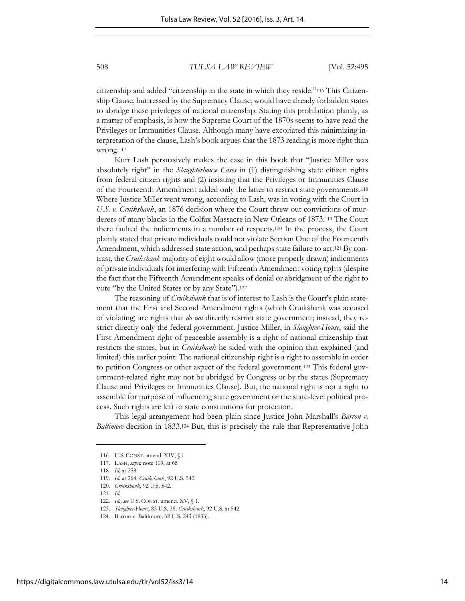citizenship and added "citizenship in the state in which they reside."<sup>116</sup> This Citizenship Clause, buttressed by the Supremacy Clause, would have already forbidden states to abridge these privileges of national citizenship. Stating this prohibition plainly, as a matter of emphasis, is how the Supreme Court of the 1870s seems to have read the Privileges or Immunities Clause. Although many have excoriated this minimizing interpretation of the clause, Lash's book argues that the 1873 reading is more right than wrong.<sup>117</sup>

Kurt Lash persuasively makes the case in this book that "Justice Miller was absolutely right" in the *Slaughterhouse Cases* in (1) distinguishing state citizen rights from federal citizen rights and (2) insisting that the Privileges or Immunities Clause of the Fourteenth Amendment added only the latter to restrict state governments.<sup>118</sup> Where Justice Miller went wrong, according to Lash, was in voting with the Court in *U.S. v. Cruikshank*, an 1876 decision where the Court threw out convictions of murderers of many blacks in the Colfax Massacre in New Orleans of 1873.<sup>119</sup> The Court there faulted the indictments in a number of respects.120 In the process, the Court plainly stated that private individuals could not violate Section One of the Fourteenth Amendment, which addressed state action, and perhaps state failure to act.121 By contrast, the *Cruikshank* majority of eight would allow (more properly drawn) indictments of private individuals for interfering with Fifteenth Amendment voting rights (despite the fact that the Fifteenth Amendment speaks of denial or abridgment of the right to vote "by the United States or by any State").<sup>122</sup>

The reasoning of *Cruikshank* that is of interest to Lash is the Court's plain statement that the First and Second Amendment rights (which Cruikshank was accused of violating) are rights that *do not* directly restrict state government; instead, they restrict directly only the federal government. Justice Miller, in *Slaughter-House*, said the First Amendment right of peaceable assembly is a right of national citizenship that restricts the states, but in *Cruikshank* he sided with the opinion that explained (and limited) this earlier point: The national citizenship right is a right to assemble in order to petition Congress or other aspect of the federal government.123 This federal government-related right may not be abridged by Congress or by the states (Supremacy Clause and Privileges or Immunities Clause). But, the national right is not a right to assemble for purpose of influencing state government or the state-level political process. Such rights are left to state constitutions for protection.

This legal arrangement had been plain since Justice John Marshall's *Barron v. Baltimore* decision in 1833.124 But, this is precisely the rule that Representative John

<sup>116.</sup> U.S. CONST. amend. XIV, § 1.

<sup>117.</sup> LASH, *supra* note 109, at 65

<sup>118.</sup> *Id.* at 258.

<sup>119.</sup> *Id.* at 264; *Cruikshank*, 92 U.S. 542.

<sup>120.</sup> *Cruikshank*, 92 U.S. 542.

<sup>121.</sup> *Id.*

<sup>122.</sup> *Id.*; *see* U.S. CONST. amend. XV, § 1.

<sup>123.</sup> *Slaughter-House*, 83 U.S. 36; *Cruikshank*, 92 U.S. at 542.

<sup>124.</sup> Barron v. Baltimore, 32 U.S. 243 (1833).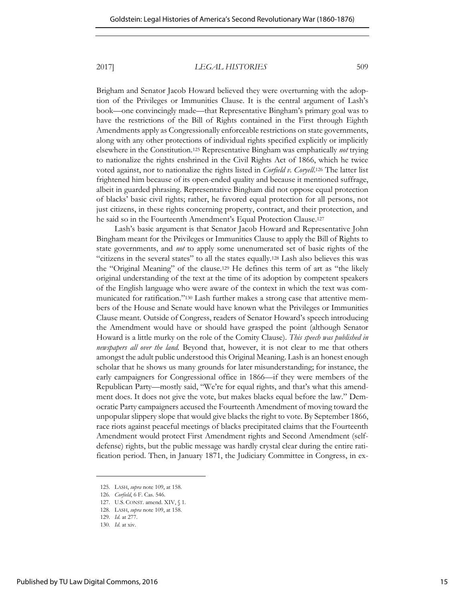Brigham and Senator Jacob Howard believed they were overturning with the adoption of the Privileges or Immunities Clause. It is the central argument of Lash's book—one convincingly made—that Representative Bingham's primary goal was to have the restrictions of the Bill of Rights contained in the First through Eighth Amendments apply as Congressionally enforceable restrictions on state governments, along with any other protections of individual rights specified explicitly or implicitly elsewhere in the Constitution.125 Representative Bingham was emphatically *not* trying to nationalize the rights enshrined in the Civil Rights Act of 1866, which he twice voted against, nor to nationalize the rights listed in *Corfield v. Coryell*.126 The latter list frightened him because of its open-ended quality and because it mentioned suffrage, albeit in guarded phrasing. Representative Bingham did not oppose equal protection of blacks' basic civil rights; rather, he favored equal protection for all persons, not just citizens, in these rights concerning property, contract, and their protection, and he said so in the Fourteenth Amendment's Equal Protection Clause.<sup>127</sup>

Lash's basic argument is that Senator Jacob Howard and Representative John Bingham meant for the Privileges or Immunities Clause to apply the Bill of Rights to state governments, and *not* to apply some unenumerated set of basic rights of the "citizens in the several states" to all the states equally.128 Lash also believes this was the "Original Meaning" of the clause.<sup>129</sup> He defines this term of art as "the likely original understanding of the text at the time of its adoption by competent speakers of the English language who were aware of the context in which the text was communicated for ratification."130 Lash further makes a strong case that attentive members of the House and Senate would have known what the Privileges or Immunities Clause meant. Outside of Congress, readers of Senator Howard's speech introducing the Amendment would have or should have grasped the point (although Senator Howard is a little murky on the role of the Comity Clause). *This speech was published in newspapers all over the land.* Beyond that, however, it is not clear to me that others amongst the adult public understood this Original Meaning. Lash is an honest enough scholar that he shows us many grounds for later misunderstanding; for instance, the early campaigners for Congressional office in 1866—if they were members of the Republican Party—mostly said, "We're for equal rights, and that's what this amendment does. It does not give the vote, but makes blacks equal before the law." Democratic Party campaigners accused the Fourteenth Amendment of moving toward the unpopular slippery slope that would give blacks the right to vote. By September 1866, race riots against peaceful meetings of blacks precipitated claims that the Fourteenth Amendment would protect First Amendment rights and Second Amendment (selfdefense) rights, but the public message was hardly crystal clear during the entire ratification period. Then, in January 1871, the Judiciary Committee in Congress, in ex-

<sup>125.</sup> LASH, *supra* note 109, at 158.

<sup>126.</sup> *Corfield*, 6 F. Cas. 546.

<sup>127.</sup> U.S. CONST. amend. XIV, § 1.

<sup>128.</sup> LASH, *supra* note 109, at 158.

<sup>129.</sup> *Id.* at 277.

<sup>130.</sup> *Id.* at xiv.